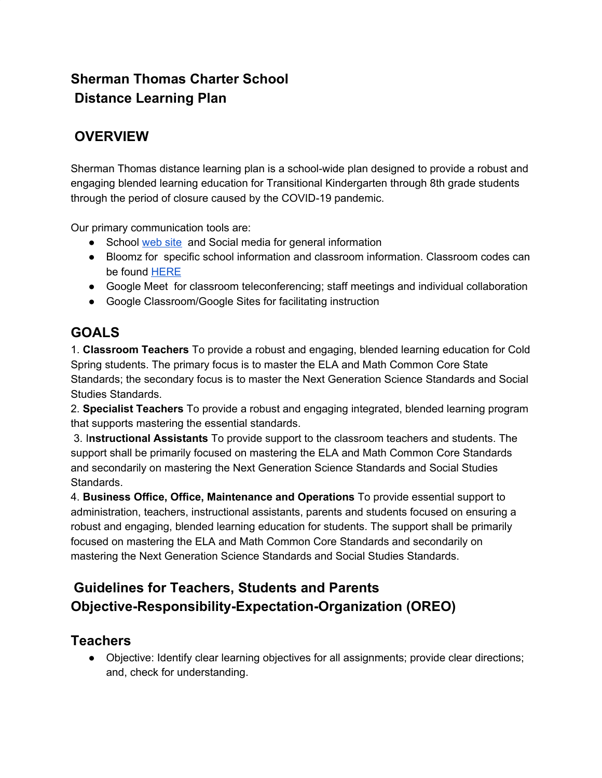# **Sherman Thomas Charter School Distance Learning Plan**

# **OVERVIEW**

Sherman Thomas distance learning plan is a school-wide plan designed to provide a robust and engaging blended learning education for Transitional Kindergarten through 8th grade students through the period of closure caused by the COVID-19 pandemic.

Our primary communication tools are:

- School [web](https://www.stcsca.org/site/Default.aspx?PageID=28) site and Social media for general information
- Bloomz for specific school information and classroom information. Classroom codes can be found [HERE](https://www.stcsca.org/site/Default.aspx?PageID=28)
- Google Meet for classroom teleconferencing; staff meetings and individual collaboration
- Google Classroom/Google Sites for facilitating instruction

### **GOALS**

1. **Classroom Teachers** To provide a robust and engaging, blended learning education for Cold Spring students. The primary focus is to master the ELA and Math Common Core State Standards; the secondary focus is to master the Next Generation Science Standards and Social Studies Standards.

2. **Specialist Teachers** To provide a robust and engaging integrated, blended learning program that supports mastering the essential standards.

3. I**nstructional Assistants** To provide support to the classroom teachers and students. The support shall be primarily focused on mastering the ELA and Math Common Core Standards and secondarily on mastering the Next Generation Science Standards and Social Studies Standards.

4. **Business Office, Office, Maintenance and Operations** To provide essential support to administration, teachers, instructional assistants, parents and students focused on ensuring a robust and engaging, blended learning education for students. The support shall be primarily focused on mastering the ELA and Math Common Core Standards and secondarily on mastering the Next Generation Science Standards and Social Studies Standards.

# **Guidelines for Teachers, Students and Parents Objective-Responsibility-Expectation-Organization (OREO)**

### **Teachers**

● Objective: Identify clear learning objectives for all assignments; provide clear directions; and, check for understanding.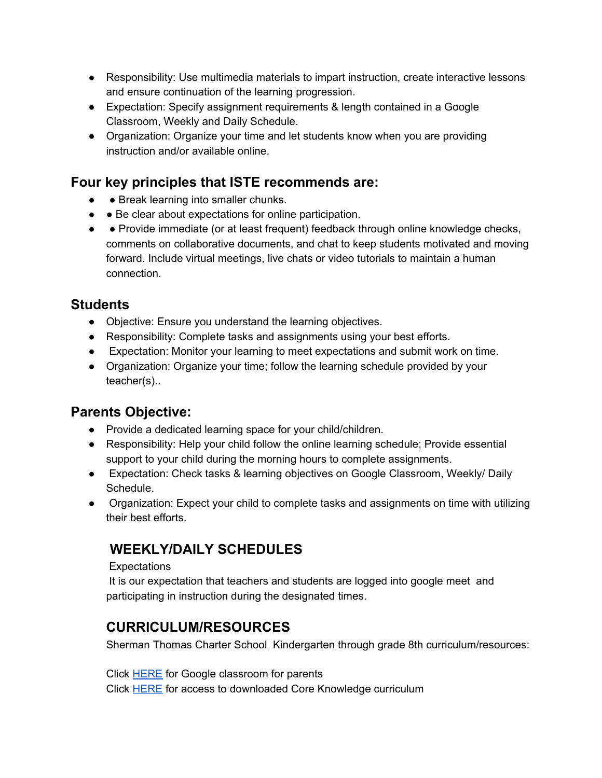- Responsibility: Use multimedia materials to impart instruction, create interactive lessons and ensure continuation of the learning progression.
- Expectation: Specify assignment requirements & length contained in a Google Classroom, Weekly and Daily Schedule.
- Organization: Organize your time and let students know when you are providing instruction and/or available online.

## **Four key principles that ISTE recommends are:**

- • Break learning into smaller chunks.
- ● Be clear about expectations for online participation.
- • Provide immediate (or at least frequent) feedback through online knowledge checks, comments on collaborative documents, and chat to keep students motivated and moving forward. Include virtual meetings, live chats or video tutorials to maintain a human connection.

### **Students**

- Objective: Ensure you understand the learning objectives.
- Responsibility: Complete tasks and assignments using your best efforts.
- Expectation: Monitor your learning to meet expectations and submit work on time.
- Organization: Organize your time; follow the learning schedule provided by your teacher(s)..

### **Parents Objective:**

- Provide a dedicated learning space for your child/children.
- Responsibility: Help your child follow the online learning schedule; Provide essential support to your child during the morning hours to complete assignments.
- Expectation: Check tasks & learning objectives on Google Classroom, Weekly/ Daily Schedule.
- Organization: Expect your child to complete tasks and assignments on time with utilizing their best efforts.

# **WEEKLY/DAILY SCHEDULES**

#### Expectations

It is our expectation that teachers and students are logged into google meet and participating in instruction during the designated times.

## **CURRICULUM/RESOURCES**

Sherman Thomas Charter School Kindergarten through grade 8th curriculum/resources:

Click [HERE](https://www.youtube.com/watch?v=2Iowi-gmbys&list=PL6gnYsGALsKDJpaihrmZC0uIUZQYP0ReB&index=27) for Google classroom for parents Click [HERE](https://www.coreknowledge.org/curriculum/download-curriculum/) for access to downloaded Core Knowledge curriculum